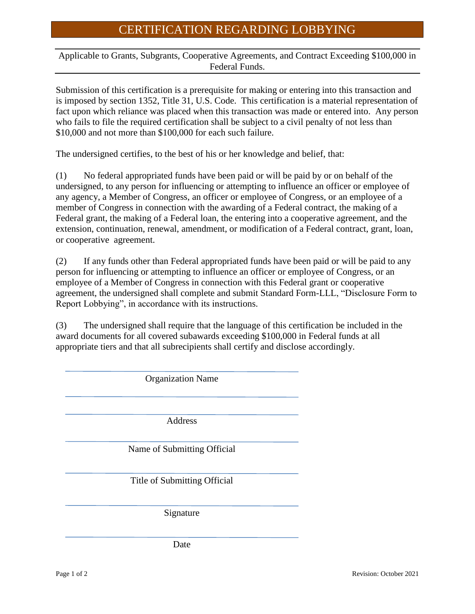## CERTIFICATION REGARDING LOBBYING

Applicable to Grants, Subgrants, Cooperative Agreements, and Contract Exceeding \$100,000 in Federal Funds.

Submission of this certification is a prerequisite for making or entering into this transaction and is imposed by section 1352, Title 31, U.S. Code. This certification is a material representation of fact upon which reliance was placed when this transaction was made or entered into. Any person who fails to file the required certification shall be subject to a civil penalty of not less than \$10,000 and not more than \$100,000 for each such failure.

The undersigned certifies, to the best of his or her knowledge and belief, that:

(1) No federal appropriated funds have been paid or will be paid by or on behalf of the undersigned, to any person for influencing or attempting to influence an officer or employee of any agency, a Member of Congress, an officer or employee of Congress, or an employee of a member of Congress in connection with the awarding of a Federal contract, the making of a Federal grant, the making of a Federal loan, the entering into a cooperative agreement, and the extension, continuation, renewal, amendment, or modification of a Federal contract, grant, loan, or cooperative agreement.

(2) If any funds other than Federal appropriated funds have been paid or will be paid to any person for influencing or attempting to influence an officer or employee of Congress, or an employee of a Member of Congress in connection with this Federal grant or cooperative agreement, the undersigned shall complete and submit Standard Form-LLL, "Disclosure Form to Report Lobbying", in accordance with its instructions.

(3) The undersigned shall require that the language of this certification be included in the award documents for all covered subawards exceeding \$100,000 in Federal funds at all appropriate tiers and that all subrecipients shall certify and disclose accordingly.

Organization Name Address Name of Submitting Official Title of Submitting Official Signature Date